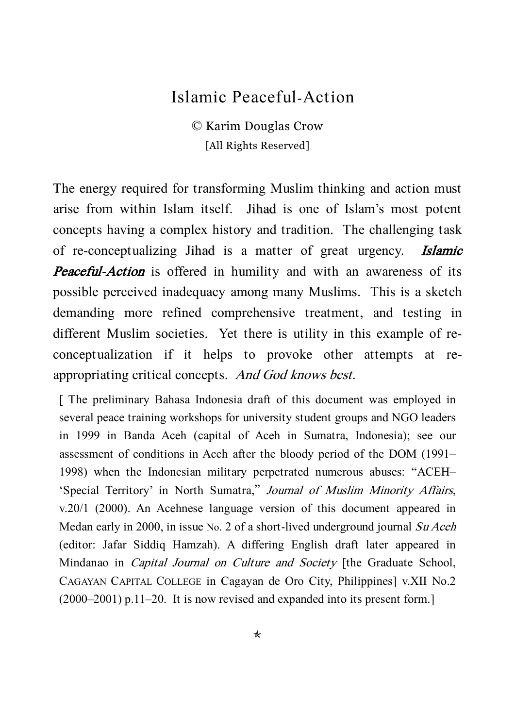## Islamic Peaceful-Action

© Karim Douglas Crow [All Rights Reserved]

The energy required for transforming Muslim thinking and action must arise from within Islam itself. Jihad is one of Islam's most potent concepts having a complex history and tradition. The challenging task of re-conceptualizing Jihad is a matter of great urgency. Islamic Peaceful-Action is offered in humility and with an awareness of its possible perceived inadequacy among many Muslims. This is a sketch demanding more refined comprehensive treatment, and testing in different Muslim societies. Yet there is utility in this example of reconceptualization if it helps to provoke other attempts at reappropriating critical concepts. And God knows best.

[ The preliminary Bahasa Indonesia draft of this document was employed in several peace training workshops for university student groups and NGO leaders in 1999 in Banda Aceh (capital of Aceh in Sumatra, Indonesia); see our assessment of conditions in Aceh after the bloody period of the DOM (1991– 1998) when the Indonesian military perpetrated numerous abuses: 'ACEH– 'Special Territory' in North Sumatra,' Journal of Muslim Minority Affairs, v.20/1 (2000). An Acehnese language version of this document appeared in Medan early in 2000, in issue No. 2 of a short-lived underground journal Su Aceh (editor: Jafar Siddiq Hamzah). A differing English draft later appeared in Mindanao in *Capital Journal on Culture and Society* [the Graduate School, CAGAYAN CAPITAL COLLEGE in Cagayan de Oro City, Philippines] v.XII No.2 (2000–2001) p.11–20. It is now revised and expanded into its present form.]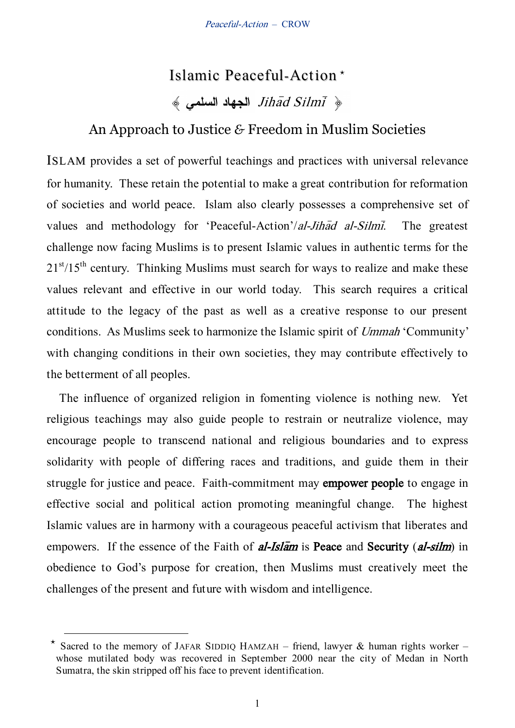# Islamic Peaceful-Action  $\frac{1}{\phi}$  Jihad Silmi ®

## An Approach to Justice *&* Freedom in Muslim Societies

ISLAM provides a set of powerful teachings and practices with universal relevance for humanity. These retain the potential to make a great contribution for reformation of societies and world peace. Islam also clearly possesses a comprehensive set of values and methodology for 'Peaceful-Action'/al-Jihad al-Silmi. The greatest challenge now facing Muslims is to present Islamic values in authentic terms for the  $21<sup>st</sup>/15<sup>th</sup>$  century. Thinking Muslims must search for ways to realize and make these values relevant and effective in our world today. This search requires a critical attitude to the legacy of the past as well as a creative response to our present conditions. As Muslims seek to harmonize the Islamic spirit of Ummah 'Community' with changing conditions in their own societies, they may contribute effectively to the betterment of all peoples.

The influence of organized religion in fomenting violence is nothing new. Yet religious teachings may also guide people to restrain or neutralize violence, may encourage people to transcend national and religious boundaries and to express solidarity with people of differing races and traditions, and guide them in their struggle for justice and peace. Faith-commitment may empower people to engage in effective social and political action promoting meaningful change. The highest Islamic values are in harmony with a courageous peaceful activism that liberates and empowers. If the essence of the Faith of  $al\text{-}Isl\bar{a}m$  is Peace and Security (al-silm) in obedience to God's purpose for creation, then Muslims must creatively meet the challenges of the present and future with wisdom and intelligence.

-

 $\star$  Sacred to the memory of JAFAR SIDDIQ HAMZAH – friend, lawyer & human rights worker – whose mutilated body was recovered in September 2000 near the city of Medan in North Sumatra, the skin stripped off his face to prevent identification.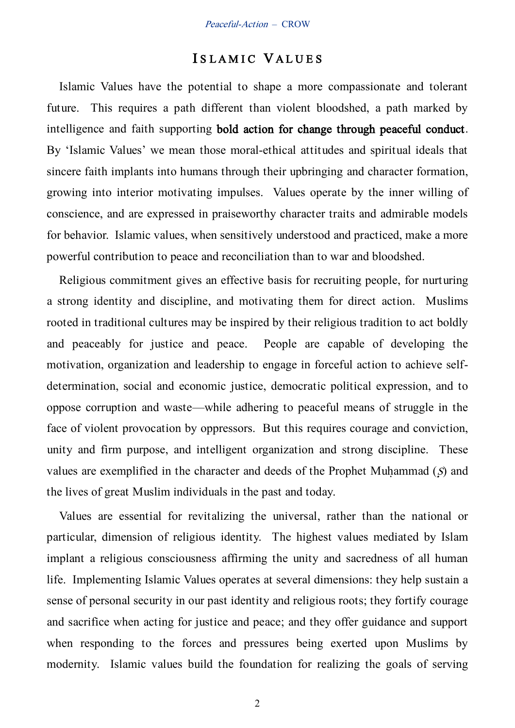#### ISLAMIC VALUES

Islamic Values have the potential to shape a more compassionate and tolerant future. This requires a path different than violent bloodshed, a path marked by intelligence and faith supporting bold action for change through peaceful conduct. By 'Islamic Values' we mean those moral-ethical attitudes and spiritual ideals that sincere faith implants into humans through their upbringing and character formation, growing into interior motivating impulses. Values operate by the inner willing of conscience, and are expressed in praiseworthy character traits and admirable models for behavior. Islamic values, when sensitively understood and practiced, make a more powerful contribution to peace and reconciliation than to war and bloodshed.

Religious commitment gives an effective basis for recruiting people, for nurturing a strong identity and discipline, and motivating them for direct action. Muslims rooted in traditional cultures may be inspired by their religious tradition to act boldly and peaceably for justice and peace. People are capable of developing the motivation, organization and leadership to engage in forceful action to achieve selfdetermination, social and economic justice, democratic political expression, and to oppose corruption and waste—while adhering to peaceful means of struggle in the face of violent provocation by oppressors. But this requires courage and conviction, unity and firm purpose, and intelligent organization and strong discipline. These values are exemplified in the character and deeds of the Prophet Muhammad  $(S)$  and the lives of great Muslim individuals in the past and today.

Values are essential for revitalizing the universal, rather than the national or particular, dimension of religious identity. The highest values mediated by Islam implant a religious consciousness affirming the unity and sacredness of all human life. Implementing Islamic Values operates at several dimensions: they help sustain a sense of personal security in our past identity and religious roots; they fortify courage and sacrifice when acting for justice and peace; and they offer guidance and support when responding to the forces and pressures being exerted upon Muslims by modernity. Islamic values build the foundation for realizing the goals of serving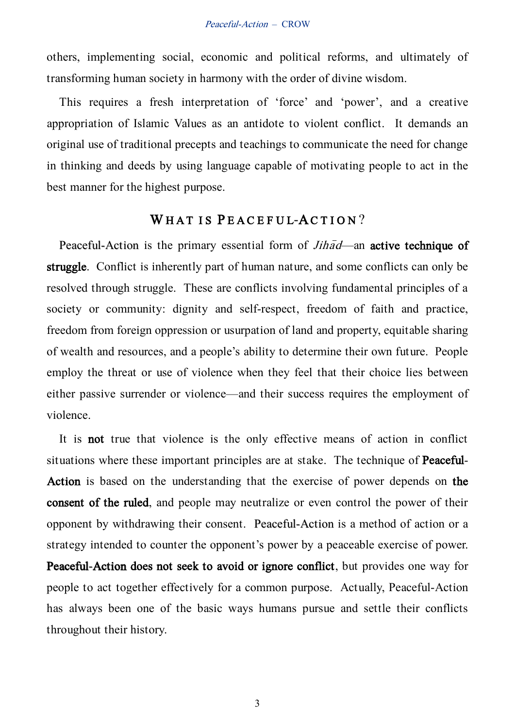others, implementing social, economic and political reforms, and ultimately of transforming human society in harmony with the order of divine wisdom.

This requires a fresh interpretation of 'force' and 'power', and a creative appropriation of Islamic Values as an antidote to violent conflict. It demands an original use of traditional precepts and teachings to communicate the need for change in thinking and deeds by using language capable of motivating people to act in the best manner for the highest purpose.

### WHAT IS PEACEFUL-ACTION?

Peaceful-Action is the primary essential form of  $Jih\bar{a}d$ —an active technique of struggle. Conflict is inherently part of human nature, and some conflicts can only be resolved through struggle. These are conflicts involving fundamental principles of a society or community: dignity and self-respect, freedom of faith and practice, freedom from foreign oppression or usurpation of land and property, equitable sharing of wealth and resources, and a people's ability to determine their own future. People employ the threat or use of violence when they feel that their choice lies between either passive surrender or violence—and their success requires the employment of violence.

It is not true that violence is the only effective means of action in conflict situations where these important principles are at stake. The technique of Peaceful-Action is based on the understanding that the exercise of power depends on the consent of the ruled, and people may neutralize or even control the power of their opponent by withdrawing their consent. Peaceful-Action is a method of action or a strategy intended to counter the opponent's power by a peaceable exercise of power. Peaceful-Action does not seek to avoid or ignore conflict, but provides one way for people to act together effectively for a common purpose. Actually, Peaceful-Action has always been one of the basic ways humans pursue and settle their conflicts throughout their history.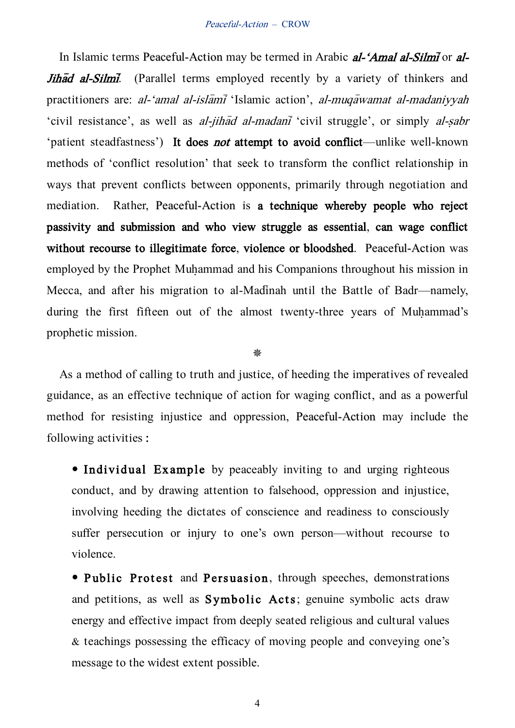In Islamic terms Peaceful-Action may be termed in Arabic al-'Amal al-Silmi or al-Jihad al-Silmi. (Parallel terms employed recently by a variety of thinkers and practitioners are: al-'amal al-islamiii 'Islamic action', al-muqayamat al-madaniyyah 'civil resistance', as well as al-jihad al-madani 'civil struggle', or simply al-sabr 'patient steadfastness') It does not attempt to avoid conflict—unlike well-known methods of 'conflict resolution' that seek to transform the conflict relationship in ways that prevent conflicts between opponents, primarily through negotiation and mediation. Rather, Peaceful-Action is a technique whereby people who reject passivity and submission and who view struggle as essential, can wage conflict without recourse to illegitimate force, violence or bloodshed. Peaceful-Action was employed by the Prophet Muhammad and his Companions throughout his mission in Mecca, and after his migration to al-Madinah until the Battle of Badr—namely, during the first fifteen out of the almost twenty-three years of Muhammad's prophetic mission.

畿

As a method of calling to truth and justice, of heeding the imperatives of revealed guidance, as an effective technique of action for waging conflict, and as a powerful method for resisting injustice and oppression, Peaceful-Action may include the following activities :

• Individual Example by peaceably inviting to and urging righteous conduct, and by drawing attention to falsehood, oppression and injustice, involving heeding the dictates of conscience and readiness to consciously suffer persecution or injury to one's own person—without recourse to violence.

• Public Protest and Persuasion, through speeches, demonstrations and petitions, as well as Symbolic Acts; genuine symbolic acts draw energy and effective impact from deeply seated religious and cultural values & teachings possessing the efficacy of moving people and conveying one's message to the widest extent possible.

4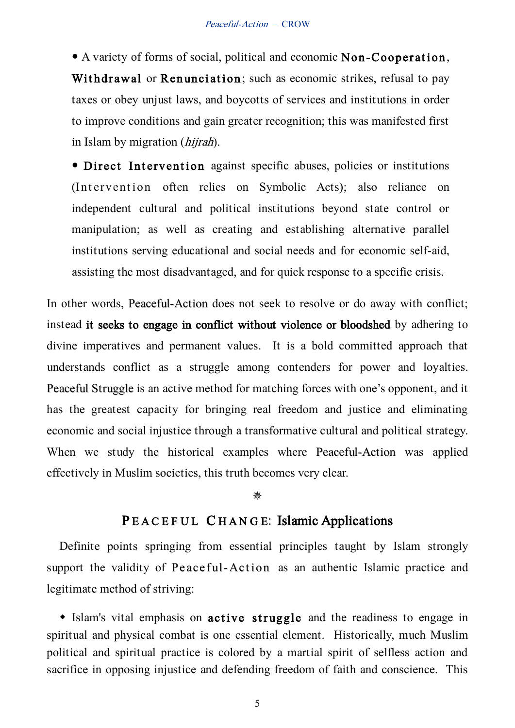A variety of forms of social, political and economic Non-Cooperation , Withdrawal or Renunciation; such as economic strikes, refusal to pay taxes or obey unjust laws, and boycotts of services and institutions in order to improve conditions and gain greater recognition; this was manifested first in Islam by migration (hijrah).

• Direct Intervention against specific abuses, policies or institutions (Intervention often relies on Symbolic Acts); also reliance on independent cultural and political institutions beyond state control or manipulation; as well as creating and establishing alternative parallel institutions serving educational and social needs and for economic self-aid, assisting the most disadvantaged, and for quick response to a specific crisis.

In other words, Peaceful-Action does not seek to resolve or do away with conflict; instead it seeks to engage in conflict without violence or bloodshed by adhering to divine imperatives and permanent values. It is a bold committed approach that understands conflict as a struggle among contenders for power and loyalties. Peaceful Struggle is an active method for matching forces with one's opponent, and it has the greatest capacity for bringing real freedom and justice and eliminating economic and social injustice through a transformative cultural and political strategy. When we study the historical examples where Peaceful-Action was applied effectively in Muslim societies, this truth becomes very clear.

#### ₩

### PEACEFUL CHANGE: Islamic Applications

Definite points springing from essential principles taught by Islam strongly support the validity of Peace ful-Action as an authentic Islamic practice and legitimate method of striving:

• Islam's vital emphasis on active struggle and the readiness to engage in spiritual and physical combat is one essential element. Historically, much Muslim political and spiritual practice is colored by a martial spirit of selfless action and sacrifice in opposing injustice and defending freedom of faith and conscience. This

5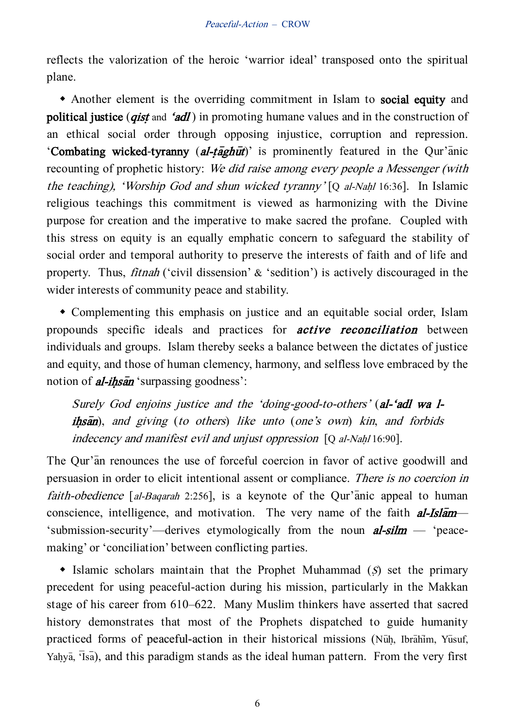reflects the valorization of the heroic 'warrior ideal' transposed onto the spiritual plane.

 Another element is the overriding commitment in Islam to social equity and political justice (*gist* and 'adl') in promoting humane values and in the construction of an ethical social order through opposing injustice, corruption and repression. 'Combating wicked-tyranny  $(al-t\bar{a}gh\bar{u}t$ ' is prominently featured in the Qur'anic recounting of prophetic history: We did raise among every people a Messenger (with the teaching), 'Worship God and shun wicked tyranny' [Q al-Nahl 16:36]. In Islamic religious teachings this commitment is viewed as harmonizing with the Divine purpose for creation and the imperative to make sacred the profane. Coupled with this stress on equity is an equally emphatic concern to safeguard the stability of social order and temporal authority to preserve the interests of faith and of life and property. Thus, fitnah ('civil dissension' & 'sedition') is actively discouraged in the wider interests of community peace and stability.

 Complementing this emphasis on justice and an equitable social order, Islam propounds specific ideals and practices for active reconciliation between individuals and groups. Islam thereby seeks a balance between the dictates of justice and equity, and those of human clemency, harmony, and selfless love embraced by the notion of  $\vec{a}$ -ihsan 'surpassing goodness':

Surely God enjoins justice and the 'doing-good-to-others' (al-'adl wa l $i$ hsan), and giving (to others) like unto (one's own) kin, and forbids indecency and manifest evil and unjust oppression  $[Q \text{ al-Nahl 16:90}]$ .

The Our'an renounces the use of forceful coercion in favor of active goodwill and persuasion in order to elicit intentional assent or compliance. There is no coercion in faith-obedience  $[aI-Baqarab 2:256]$ , is a keynote of the Qur'anic appeal to human conscience, intelligence, and motivation. The very name of the faith  $al\text{-}Isl\bar{a}m-$ 'submission-security'—derives etymologically from the noun  $al-silm$  - 'peacemaking' or 'conciliation' between conflicting parties.

 $\bullet$  Islamic scholars maintain that the Prophet Muhammad (S) set the primary precedent for using peaceful-action during his mission, particularly in the Makkan stage of his career from 610–622. Many Muslim thinkers have asserted that sacred history demonstrates that most of the Prophets dispatched to guide humanity practiced forms of peaceful-action in their historical missions (Nuh, Ibrahim, Yusuf, Yahya,  $\overline{1}$ sa), and this paradigm stands as the ideal human pattern. From the very first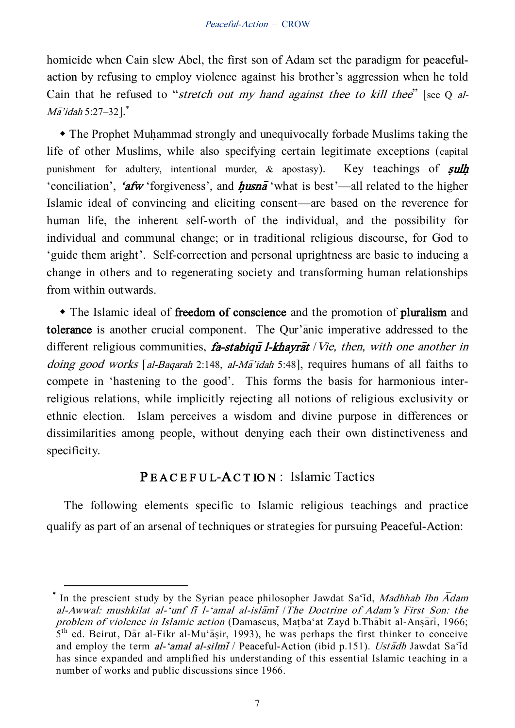homicide when Cain slew Abel, the first son of Adam set the paradigm for peacefulaction by refusing to employ violence against his brother's aggression when he told Cain that he refused to "stretch out my hand against thee to kill thee" [see Q al- $M\bar{a}'$ idah 5:27–32]. $*$ 

• The Prophet Muhammad strongly and unequivocally forbade Muslims taking the life of other Muslims, while also specifying certain legitimate exceptions (capital punishment for adultery, intentional murder,  $\&$  apostasy). Key teachings of sulh 'conciliation', 'afw 'forgiveness', and husna<sup>-</sup> what is best'—all related to the higher Islamic ideal of convincing and eliciting consent—are based on the reverence for human life, the inherent self-worth of the individual, and the possibility for individual and communal change; or in traditional religious discourse, for God to 'guide them aright'. Self-correction and personal uprightness are basic to inducing a change in others and to regenerating society and transforming human relationships from within outwards.

 The Islamic ideal of freedom of conscience and the promotion of pluralism and tolerance is another crucial component. The Qur'anic imperative addressed to the different religious communities, fa-stabique l-khayrat / Vie, then, with one another in doing good works [al-Baqarah 2:148, al-Ma<sup>-</sup>idah 5:48], requires humans of all faiths to compete in 'hastening to the good'. This forms the basis for harmonious interreligious relations, while implicitly rejecting all notions of religious exclusivity or ethnic election. Islam perceives a wisdom and divine purpose in differences or dissimilarities among people, without denying each their own distinctiveness and specificity.

## PEACEFUL-ACTION: Islamic Tactics

The following elements specific to Islamic religious teachings and practice qualify as part of an arsenal of techniques or strategies for pursuing Peaceful-Action:

 $\overline{a}$ 

<sup>\*</sup> In the prescient study by the Syrian peace philosopher Jawdat Sa'id, Madhhab Ibn Adam al-Awwal: mushkilat al-'unf fi l-'amal al-islami / The Doctrine of Adam's First Son: the problem of violence in Islamic action (Damascus, Matba'at Zayd b.Thabit al-Ansari, 1966;  $5<sup>th</sup>$  ed. Beirut, Dar al-Fikr al-Mu'asir, 1993), he was perhaps the first thinker to conceive and employ the term al-'amal al-silmi<sup> $\overline{i}$ </sup> / Peaceful-Action (ibid p.151). Ustadh Jawdat Sa'id has since expanded and amplified his understanding of this essential Islamic teaching in a number of works and public discussions since 1966.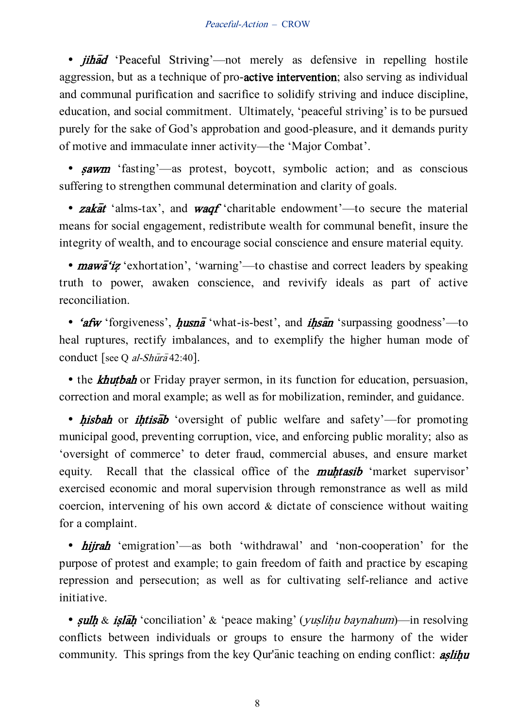• *jihad* 'Peaceful Striving'—not merely as defensive in repelling hostile aggression, but as a technique of pro-active intervention; also serving as individual and communal purification and sacrifice to solidify striving and induce discipline, education, and social commitment. Ultimately, 'peaceful striving' is to be pursued purely for the sake of God's approbation and good-pleasure, and it demands purity of motive and immaculate inner activity—the 'Major Combat'.

• sawm 'fasting'—as protest, boycott, symbolic action; and as conscious suffering to strengthen communal determination and clarity of goals.

• zakat 'alms-tax', and waqf 'charitable endowment'—to secure the material means for social engagement, redistribute wealth for communal benefit, insure the integrity of wealth, and to encourage social conscience and ensure material equity.

•  $mawa'iz'$  exhortation', 'warning'—to chastise and correct leaders by speaking truth to power, awaken conscience, and revivify ideals as part of active reconciliation.

• 'afw 'forgiveness',  $h$ usna<sup>-</sup> 'what-is-best', and  $i$ hsan 'surpassing goodness'—to heal ruptures, rectify imbalances, and to exemplify the higher human mode of conduct [see Q al-Shura 42:40].

• the *khutbah* or Friday prayer sermon, in its function for education, persuasion, correction and moral example; as well as for mobilization, reminder, and guidance.

• hisbah or ihtisab 'oversight of public welfare and safety'—for promoting municipal good, preventing corruption, vice, and enforcing public morality; also as 'oversight of commerce' to deter fraud, commercial abuses, and ensure market equity. Recall that the classical office of the **muhtasib** 'market supervisor' exercised economic and moral supervision through remonstrance as well as mild coercion, intervening of his own accord & dictate of conscience without waiting for a complaint.

• *hijrah* 'emigration'—as both 'withdrawal' and 'non-cooperation' for the purpose of protest and example; to gain freedom of faith and practice by escaping repression and persecution; as well as for cultivating self-reliance and active initiative.

• sulh & islah 'conciliation' & 'peace making' (*yuslihu baynahum*)—in resolving conflicts between individuals or groups to ensure the harmony of the wider community. This springs from the key Qur'anic teaching on ending conflict: **aslihu** 

8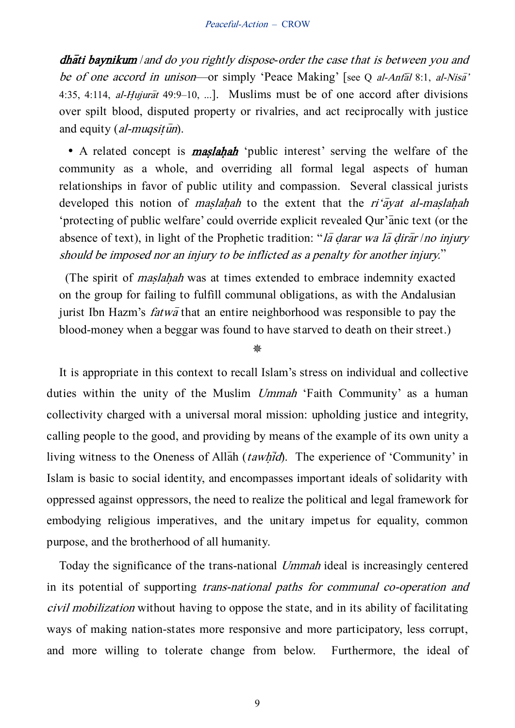**dhati baynikum** and do you rightly dispose-order the case that is between you and be of one accord in unison—or simply 'Peace Making' [see Q al-Anfal 8:1, al-Nisa' 4:35, 4:114, *al-Hujurat* 49:9–10, ...]. Muslims must be of one accord after divisions over spilt blood, disputed property or rivalries, and act reciprocally with justice and equity (al-muqsit $\bar{u}$ n).

• A related concept is **maslahah** 'public interest' serving the welfare of the community as a whole, and overriding all formal legal aspects of human relationships in favor of public utility and compassion. Several classical jurists developed this notion of *maslahah* to the extent that the  $ri' \bar{a}$  varia-maslahah 'protecting of public welfare' could override explicit revealed Qur'anic text (or the absence of text), in light of the Prophetic tradition: "*la darar wa la dirar /no injury* should be imposed nor an injury to be inflicted as a penalty for another injury.'

(The spirit of *maslahah* was at times extended to embrace indemnity exacted on the group for failing to fulfill communal obligations, as with the Andalusian jurist Ibn Hazm's *fatwa* that an entire neighborhood was responsible to pay the blood-money when a beggar was found to have starved to death on their street.)

₩

It is appropriate in this context to recall Islam's stress on individual and collective duties within the unity of the Muslim Ummah 'Faith Community' as a human collectivity charged with a universal moral mission: upholding justice and integrity, calling people to the good, and providing by means of the example of its own unity a living witness to the Oneness of Allah (tawhid). The experience of 'Community' in Islam is basic to social identity, and encompasses important ideals of solidarity with oppressed against oppressors, the need to realize the political and legal framework for embodying religious imperatives, and the unitary impetus for equality, common purpose, and the brotherhood of all humanity.

Today the significance of the trans-national Ummah ideal is increasingly centered in its potential of supporting trans-national paths for communal co-operation and civil mobilization without having to oppose the state, and in its ability of facilitating ways of making nation-states more responsive and more participatory, less corrupt, and more willing to tolerate change from below. Furthermore, the ideal of